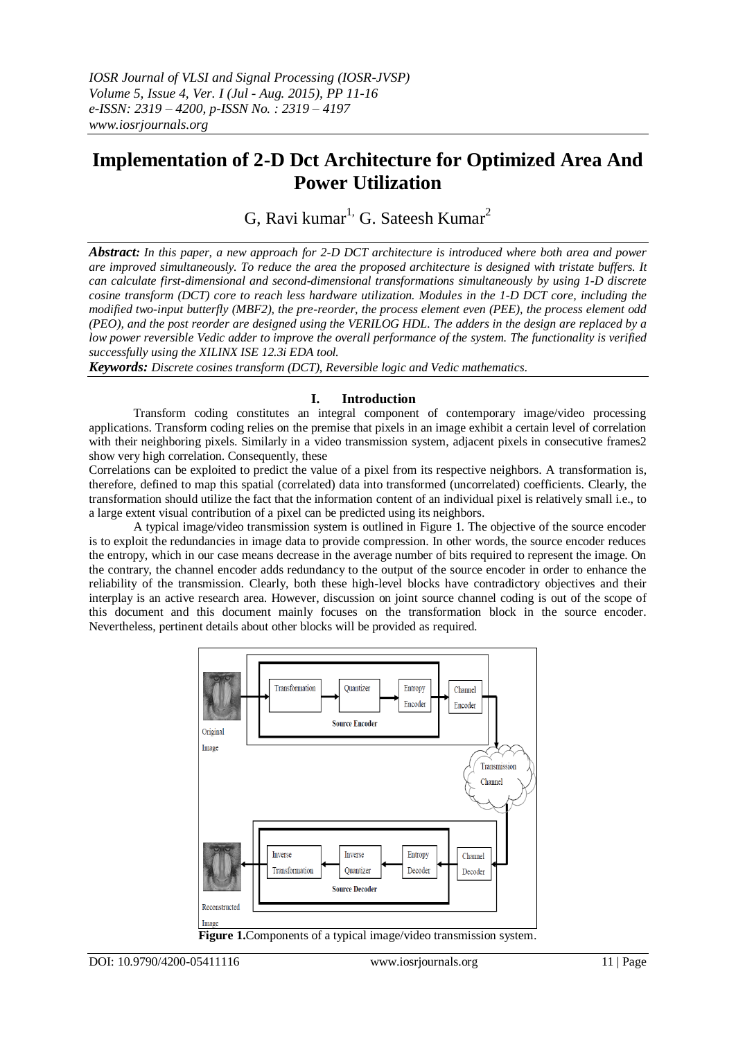# **Implementation of 2-D Dct Architecture for Optimized Area And Power Utilization**

G, Ravi kumar<sup>1,</sup> G. Sateesh Kumar<sup>2</sup>

*Abstract: In this paper, a new approach for 2-D DCT architecture is introduced where both area and power are improved simultaneously. To reduce the area the proposed architecture is designed with tristate buffers. It can calculate first-dimensional and second-dimensional transformations simultaneously by using 1-D discrete cosine transform (DCT) core to reach less hardware utilization. Modules in the 1-D DCT core, including the modified two-input butterfly (MBF2), the pre-reorder, the process element even (PEE), the process element odd (PEO), and the post reorder are designed using the VERILOG HDL. The adders in the design are replaced by a low power reversible Vedic adder to improve the overall performance of the system. The functionality is verified successfully using the XILINX ISE 12.3i EDA tool.*

*Keywords: Discrete cosines transform (DCT), Reversible logic and Vedic mathematics*.

## **I. Introduction**

Transform coding constitutes an integral component of contemporary image/video processing applications. Transform coding relies on the premise that pixels in an image exhibit a certain level of correlation with their neighboring pixels. Similarly in a video transmission system, adjacent pixels in consecutive frames2 show very high correlation. Consequently, these

Correlations can be exploited to predict the value of a pixel from its respective neighbors. A transformation is, therefore, defined to map this spatial (correlated) data into transformed (uncorrelated) coefficients. Clearly, the transformation should utilize the fact that the information content of an individual pixel is relatively small i.e., to a large extent visual contribution of a pixel can be predicted using its neighbors.

A typical image/video transmission system is outlined in Figure 1. The objective of the source encoder is to exploit the redundancies in image data to provide compression. In other words, the source encoder reduces the entropy, which in our case means decrease in the average number of bits required to represent the image. On the contrary, the channel encoder adds redundancy to the output of the source encoder in order to enhance the reliability of the transmission. Clearly, both these high-level blocks have contradictory objectives and their interplay is an active research area. However, discussion on joint source channel coding is out of the scope of this document and this document mainly focuses on the transformation block in the source encoder. Nevertheless, pertinent details about other blocks will be provided as required.



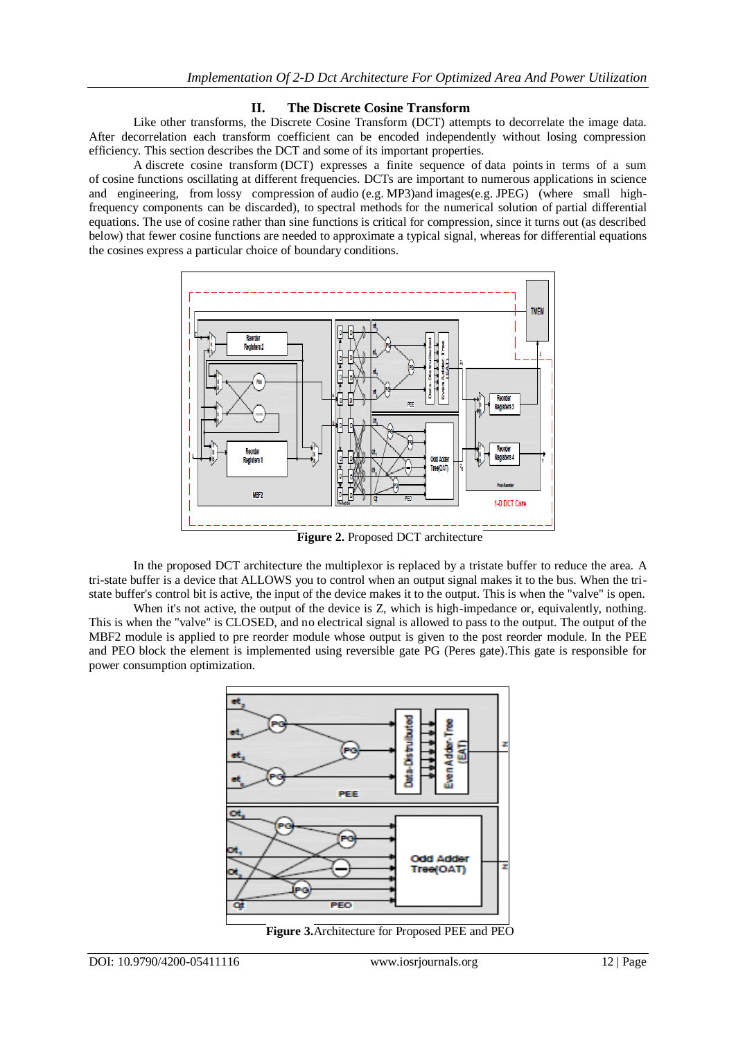## **II. The Discrete Cosine Transform**

Like other transforms, the Discrete Cosine Transform (DCT) attempts to decorrelate the image data. After decorrelation each transform coefficient can be encoded independently without losing compression efficiency. This section describes the DCT and some of its important properties.

A discrete cosine transform (DCT) expresses a finite sequence of [data points](http://en.wikipedia.org/wiki/Data_points) in terms of a sum of [cosine](http://en.wikipedia.org/wiki/Cosine) functions oscillating at different [frequencies.](http://en.wikipedia.org/wiki/Frequency) DCTs are important to numerous applications in science and engineering, from [lossy compression](http://en.wikipedia.org/wiki/Lossy_compression) of [audio](http://en.wikipedia.org/wiki/Audio_compression_(data)) (e.g. [MP3\)](http://en.wikipedia.org/wiki/MP3)and [images\(](http://en.wikipedia.org/wiki/Image_compression)e.g. [JPEG\)](http://en.wikipedia.org/wiki/JPEG) (where small highfrequency components can be discarded), to [spectral methods](http://en.wikipedia.org/wiki/Spectral_method) for the numerical solution of [partial differential](http://en.wikipedia.org/wiki/Partial_differential_equations)  [equations.](http://en.wikipedia.org/wiki/Partial_differential_equations) The use of [cosine](http://en.wikipedia.org/wiki/Cosine) rather than [sine](http://en.wikipedia.org/wiki/Sine) functions is critical for compression, since it turns out (as described below) that fewer cosine functions are needed to approximate a typical [signal,](http://en.wikipedia.org/wiki/Signal_(electrical_engineering)) whereas for differential equations the cosines express a particular choice of [boundary conditions.](http://en.wikipedia.org/wiki/Boundary_condition)



**Figure 2.** Proposed DCT architecture

In the proposed DCT architecture the multiplexor is replaced by a tristate buffer to reduce the area. A tri-state buffer is a device that ALLOWS you to control when an output signal makes it to the bus. When the tristate buffer's control bit is active, the input of the device makes it to the output. This is when the "valve" is open.

When it's not active, the output of the device is Z, which is high-impedance or, equivalently, nothing. This is when the "valve" is CLOSED, and no electrical signal is allowed to pass to the output. The output of the MBF2 module is applied to pre reorder module whose output is given to the post reorder module. In the PEE and PEO block the element is implemented using reversible gate PG (Peres gate).This gate is responsible for power consumption optimization.



**Figure 3.**Architecture for Proposed PEE and PEO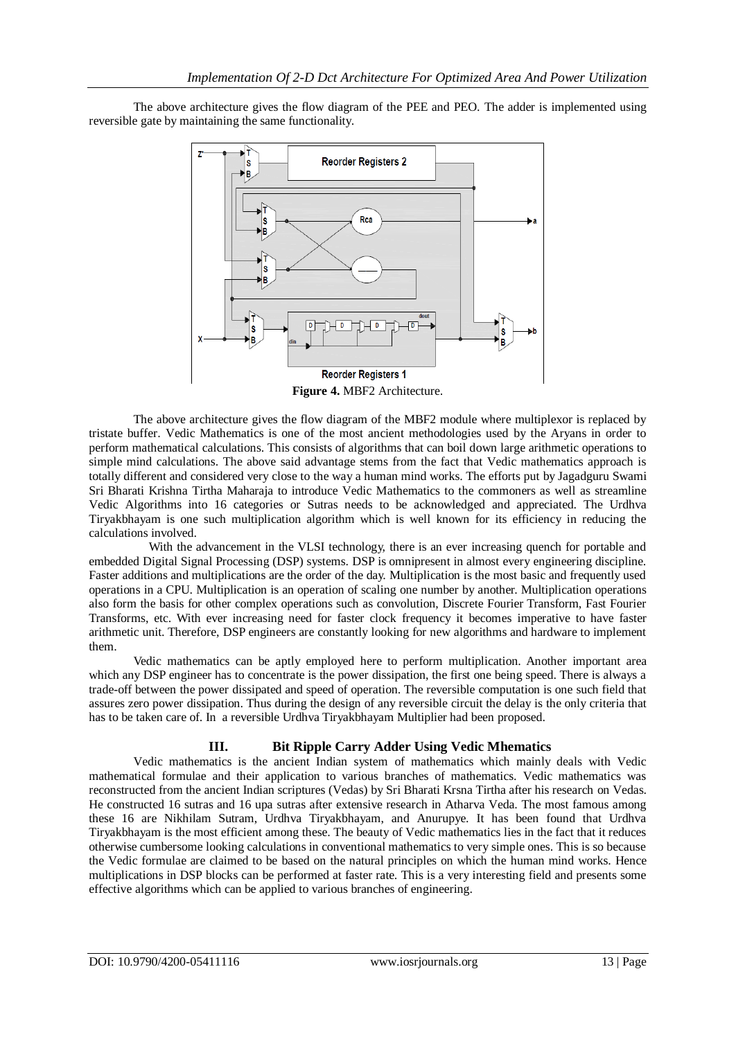The above architecture gives the flow diagram of the PEE and PEO. The adder is implemented using reversible gate by maintaining the same functionality.



**Figure 4.** MBF2 Architecture.

The above architecture gives the flow diagram of the MBF2 module where multiplexor is replaced by tristate buffer. Vedic Mathematics is one of the most ancient methodologies used by the Aryans in order to perform mathematical calculations. This consists of algorithms that can boil down large arithmetic operations to simple mind calculations. The above said advantage stems from the fact that Vedic mathematics approach is totally different and considered very close to the way a human mind works. The efforts put by Jagadguru Swami Sri Bharati Krishna Tirtha Maharaja to introduce Vedic Mathematics to the commoners as well as streamline Vedic Algorithms into 16 categories or Sutras needs to be acknowledged and appreciated. The Urdhva Tiryakbhayam is one such multiplication algorithm which is well known for its efficiency in reducing the calculations involved.

With the advancement in the VLSI technology, there is an ever increasing quench for portable and embedded Digital Signal Processing (DSP) systems. DSP is omnipresent in almost every engineering discipline. Faster additions and multiplications are the order of the day. Multiplication is the most basic and frequently used operations in a CPU. Multiplication is an operation of scaling one number by another. Multiplication operations also form the basis for other complex operations such as convolution, Discrete Fourier Transform, Fast Fourier Transforms, etc. With ever increasing need for faster clock frequency it becomes imperative to have faster arithmetic unit. Therefore, DSP engineers are constantly looking for new algorithms and hardware to implement them.

Vedic mathematics can be aptly employed here to perform multiplication. Another important area which any DSP engineer has to concentrate is the power dissipation, the first one being speed. There is always a trade-off between the power dissipated and speed of operation. The reversible computation is one such field that assures zero power dissipation. Thus during the design of any reversible circuit the delay is the only criteria that has to be taken care of. In a reversible Urdhva Tiryakbhayam Multiplier had been proposed.

## **III. Bit Ripple Carry Adder Using Vedic Mhematics**

Vedic mathematics is the ancient Indian system of mathematics which mainly deals with Vedic mathematical formulae and their application to various branches of mathematics. Vedic mathematics was reconstructed from the ancient Indian scriptures (Vedas) by Sri Bharati Krsna Tirtha after his research on Vedas. He constructed 16 sutras and 16 upa sutras after extensive research in Atharva Veda. The most famous among these 16 are Nikhilam Sutram, Urdhva Tiryakbhayam, and Anurupye. It has been found that Urdhva Tiryakbhayam is the most efficient among these. The beauty of Vedic mathematics lies in the fact that it reduces otherwise cumbersome looking calculations in conventional mathematics to very simple ones. This is so because the Vedic formulae are claimed to be based on the natural principles on which the human mind works. Hence multiplications in DSP blocks can be performed at faster rate. This is a very interesting field and presents some effective algorithms which can be applied to various branches of engineering.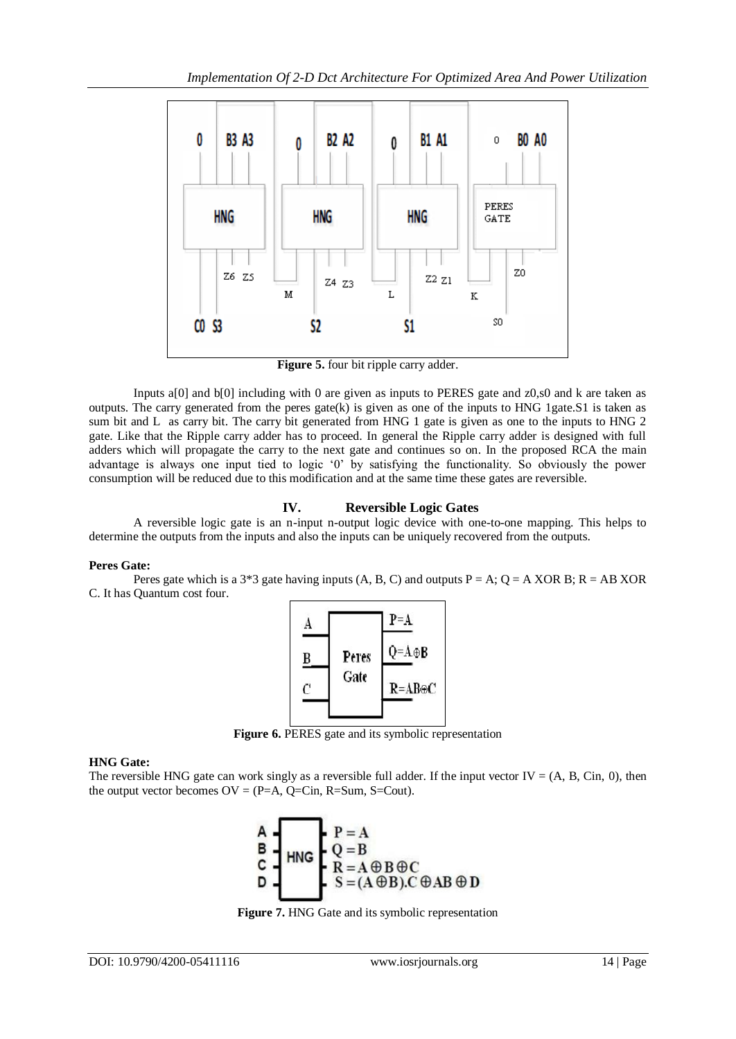

**Figure 5.** four bit ripple carry adder.

Inputs a[0] and b[0] including with 0 are given as inputs to PERES gate and z0,s0 and k are taken as outputs. The carry generated from the peres gate(k) is given as one of the inputs to HNG 1gate.S1 is taken as sum bit and L as carry bit. The carry bit generated from HNG 1 gate is given as one to the inputs to HNG 2 gate. Like that the Ripple carry adder has to proceed. In general the Ripple carry adder is designed with full adders which will propagate the carry to the next gate and continues so on. In the proposed RCA the main advantage is always one input tied to logic "0" by satisfying the functionality. So obviously the power consumption will be reduced due to this modification and at the same time these gates are reversible.

# **IV. Reversible Logic Gates**

A reversible logic gate is an n-input n-output logic device with one-to-one mapping. This helps to determine the outputs from the inputs and also the inputs can be uniquely recovered from the outputs.

#### **Peres Gate:**

Peres gate which is a  $3*3$  gate having inputs (A, B, C) and outputs  $P = A$ ;  $Q = A XOR$  B;  $R = AB XOR$ C. It has Quantum cost four.



**Figure 6.** PERES gate and its symbolic representation

#### **HNG Gate:**

The reversible HNG gate can work singly as a reversible full adder. If the input vector  $IV = (A, B, Cin, 0)$ , then the output vector becomes  $OV = (P=A, Q=Cin, R=Sum, S=Cout)$ .

$$
\begin{array}{c}\nA \\
B \\
C \\
D\n\end{array}
$$
\n
$$
HNG\n\begin{array}{c}\nP = A \\
Q = B \\
R = A \oplus B \oplus C \\
S = (A \oplus B).C \oplus AB \oplus D\n\end{array}
$$

**Figure 7.** HNG Gate and its symbolic representation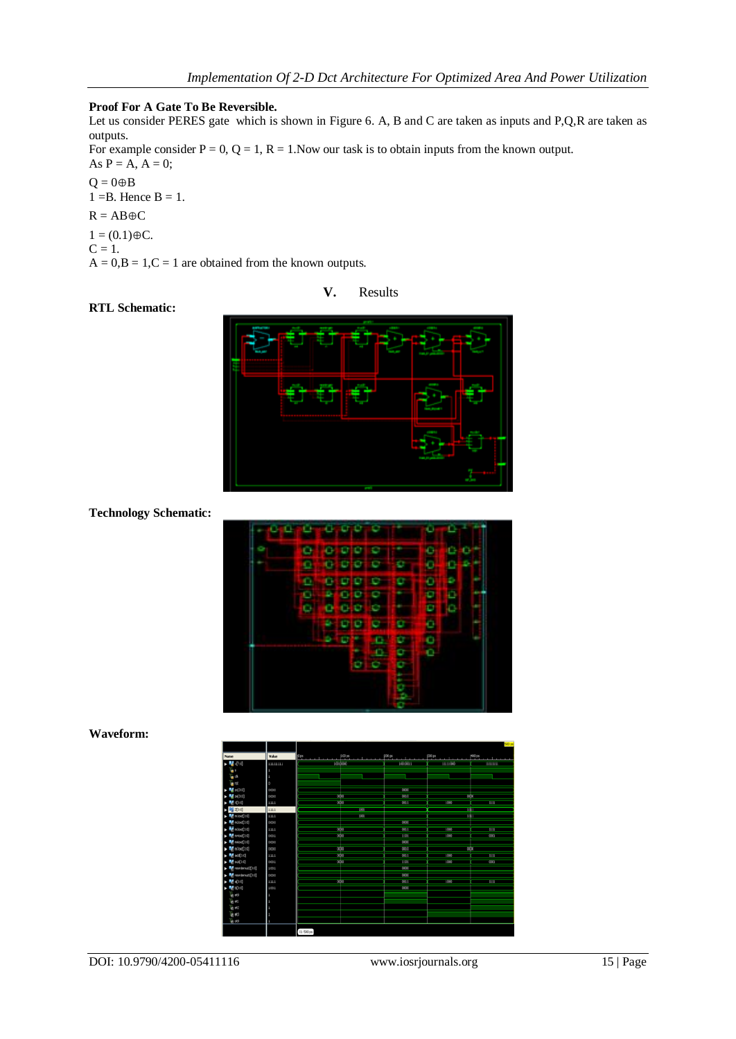#### **Proof For A Gate To Be Reversible.**

Let us consider PERES gate which is shown in Figure 6. A, B and C are taken as inputs and P,Q,R are taken as outputs.

For example consider  $P = 0$ ,  $Q = 1$ ,  $R = 1$ . Now our task is to obtain inputs from the known output. As  $P = A$ ,  $A = 0$ ;

 $Q = 0 \oplus B$  $1 = B$ . Hence  $B = 1$ .

$$
R = AB \oplus C
$$

 $1 = (0.1) \oplus C.$ 

 $C = 1$ .

 $A = 0, B = 1, C = 1$  are obtained from the known outputs.

#### **V.** Results

# **RTL Schematic:**



## **Technology Schematic:**



#### **Waveform:**